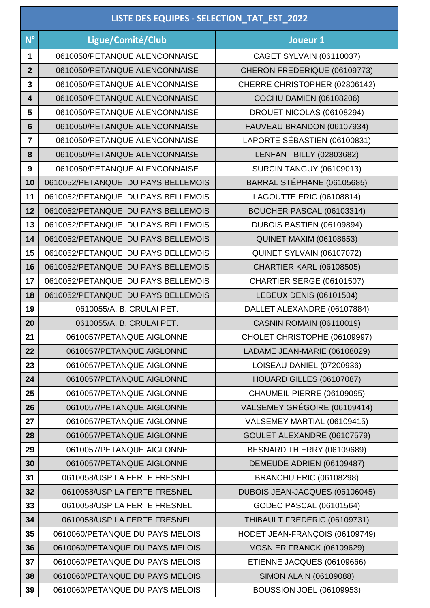| LISTE DES EQUIPES - SELECTION_TAT_EST_2022 |                                    |                                 |
|--------------------------------------------|------------------------------------|---------------------------------|
| $N^{\circ}$                                | Ligue/Comité/Club                  | Joueur 1                        |
| $\blacktriangleleft$                       | 0610050/PETANQUE ALENCONNAISE      | <b>CAGET SYLVAIN (06110037)</b> |
| $\overline{2}$                             | 0610050/PETANQUE ALENCONNAISE      | CHERON FREDERIQUE (06109773)    |
| 3                                          | 0610050/PETANQUE ALENCONNAISE      | CHERRE CHRISTOPHER (02806142)   |
| $\overline{\mathbf{4}}$                    | 0610050/PETANQUE ALENCONNAISE      | <b>COCHU DAMIEN (06108206)</b>  |
| 5                                          | 0610050/PETANQUE ALENCONNAISE      | DROUET NICOLAS (06108294)       |
| $6\phantom{1}$                             | 0610050/PETANQUE ALENCONNAISE      | FAUVEAU BRANDON (06107934)      |
| $\overline{7}$                             | 0610050/PETANQUE ALENCONNAISE      | LAPORTE SÉBASTIEN (06100831)    |
| 8                                          | 0610050/PETANQUE ALENCONNAISE      | <b>LENFANT BILLY (02803682)</b> |
| 9                                          | 0610050/PETANQUE ALENCONNAISE      | <b>SURCIN TANGUY (06109013)</b> |
| 10                                         | 0610052/PETANQUE DU PAYS BELLEMOIS | BARRAL STÉPHANE (06105685)      |
| 11                                         | 0610052/PETANQUE DU PAYS BELLEMOIS | <b>LAGOUTTE ERIC (06108814)</b> |
| 12                                         | 0610052/PETANQUE DU PAYS BELLEMOIS | BOUCHER PASCAL (06103314)       |
| 13                                         | 0610052/PETANQUE DU PAYS BELLEMOIS | DUBOIS BASTIEN (06109894)       |
| 14                                         | 0610052/PETANQUE DU PAYS BELLEMOIS | <b>QUINET MAXIM (06108653)</b>  |
| 15                                         | 0610052/PETANQUE DU PAYS BELLEMOIS | QUINET SYLVAIN (06107072)       |
| 16                                         | 0610052/PETANQUE DU PAYS BELLEMOIS | <b>CHARTIER KARL (06108505)</b> |
| 17                                         | 0610052/PETANQUE DU PAYS BELLEMOIS | CHARTIER SERGE (06101507)       |
| 18                                         | 0610052/PETANQUE DU PAYS BELLEMOIS | LEBEUX DENIS (06101504)         |
| 19                                         | 0610055/A. B. CRULAI PET.          | DALLET ALEXANDRE (06107884)     |
| 20                                         | 0610055/A. B. CRULAI PET.          | <b>CASNIN ROMAIN (06110019)</b> |
| 21                                         | 0610057/PETANQUE AIGLONNE          | CHOLET CHRISTOPHE (06109997)    |
| 22                                         | 0610057/PETANQUE AIGLONNE          | LADAME JEAN-MARIE (06108029)    |
| 23                                         | 0610057/PETANQUE AIGLONNE          | LOISEAU DANIEL (07200936)       |
| 24                                         | 0610057/PETANQUE AIGLONNE          | <b>HOUARD GILLES (06107087)</b> |
| 25                                         | 0610057/PETANQUE AIGLONNE          | CHAUMEIL PIERRE (06109095)      |
| 26                                         | 0610057/PETANQUE AIGLONNE          | VALSEMEY GRÉGOIRE (06109414)    |
| 27                                         | 0610057/PETANQUE AIGLONNE          | VALSEMEY MARTIAL (06109415)     |
| 28                                         | 0610057/PETANQUE AIGLONNE          | GOULET ALEXANDRE (06107579)     |
| 29                                         | 0610057/PETANQUE AIGLONNE          | BESNARD THIERRY (06109689)      |
| 30                                         | 0610057/PETANQUE AIGLONNE          | DEMEUDE ADRIEN (06109487)       |
| 31                                         | 0610058/USP LA FERTE FRESNEL       | <b>BRANCHU ERIC (06108298)</b>  |
| 32                                         | 0610058/USP LA FERTE FRESNEL       | DUBOIS JEAN-JACQUES (06106045)  |
| 33                                         | 0610058/USP LA FERTE FRESNEL       | GODEC PASCAL (06101564)         |
| 34                                         | 0610058/USP LA FERTE FRESNEL       | THIBAULT FRÉDÉRIC (06109731)    |
| 35                                         | 0610060/PETANQUE DU PAYS MELOIS    | HODET JEAN-FRANÇOIS (06109749)  |
| 36                                         | 0610060/PETANQUE DU PAYS MELOIS    | MOSNIER FRANCK (06109629)       |
| 37                                         | 0610060/PETANQUE DU PAYS MELOIS    | ETIENNE JACQUES (06109666)      |
| 38                                         | 0610060/PETANQUE DU PAYS MELOIS    | SIMON ALAIN (06109088)          |
| 39                                         | 0610060/PETANQUE DU PAYS MELOIS    | <b>BOUSSION JOEL (06109953)</b> |